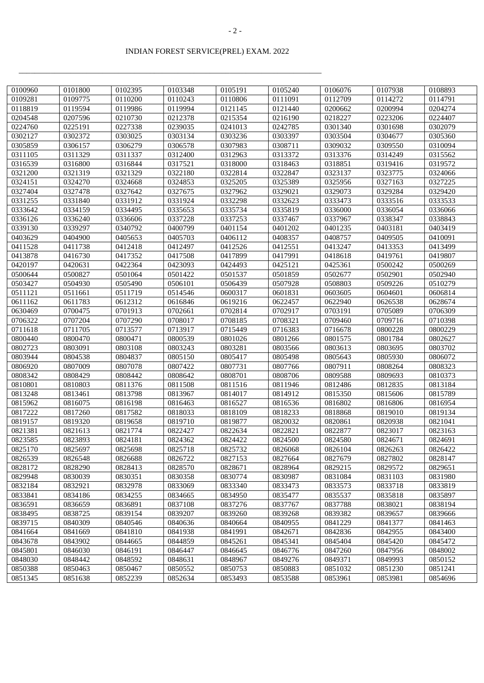\_\_\_\_\_\_\_\_\_\_\_\_\_\_\_\_\_\_\_\_\_\_\_\_\_\_\_\_\_\_\_\_\_\_\_\_\_\_\_\_\_\_\_\_\_\_\_\_\_\_\_\_\_\_\_\_\_\_\_\_\_\_\_\_\_\_\_\_\_\_\_\_\_\_\_\_

| 0100960 | 0101800 | 0102395 | 0103348 | 0105191 | 0105240 | 0106076 | 0107938 | 0108893 |
|---------|---------|---------|---------|---------|---------|---------|---------|---------|
| 0109281 | 0109775 | 0110200 | 0110243 | 0110806 | 0111091 | 0112709 | 0114272 | 0114791 |
| 0118819 | 0119594 | 0119986 | 0119994 | 0121145 | 0121440 | 0200662 | 0200994 | 0204274 |
| 0204548 | 0207596 | 0210730 | 0212378 | 0215354 | 0216190 | 0218227 | 0223206 | 0224407 |
| 0224760 | 0225191 | 0227338 | 0239035 | 0241013 | 0242785 | 0301340 | 0301698 | 0302079 |
| 0302127 | 0302372 | 0303025 | 0303134 | 0303236 | 0303397 | 0303504 | 0304677 | 0305360 |
| 0305859 | 0306157 | 0306279 | 0306578 | 0307983 | 0308711 | 0309032 | 0309550 | 0310094 |
| 0311105 | 0311329 | 0311337 | 0312400 | 0312963 | 0313372 | 0313376 | 0314249 | 0315562 |
| 0316539 | 0316800 | 0316844 | 0317521 | 0318000 | 0318463 | 0318851 | 0319416 | 0319572 |
| 0321200 | 0321319 | 0321329 | 0322180 | 0322814 | 0322847 | 0323137 | 0323775 | 0324066 |
| 0324151 | 0324270 | 0324668 | 0324853 | 0325205 | 0325389 | 0325956 | 0327163 | 0327225 |
| 0327404 | 0327478 | 0327642 | 0327675 | 0327962 | 0329021 | 0329073 | 0329284 | 0329420 |
| 0331255 | 0331840 | 0331912 | 0331924 | 0332298 | 0332623 | 0333473 | 0333516 | 0333533 |
| 0333642 | 0334159 | 0334495 | 0335653 | 0335734 | 0335819 | 0336000 | 0336054 | 0336066 |
| 0336126 | 0336240 | 0336606 | 0337228 | 0337253 | 0337467 | 0337967 | 0338347 | 0338843 |
| 0339130 | 0339297 | 0340792 | 0400799 | 0401154 | 0401202 | 0401235 | 0403181 | 0403419 |
| 0403629 | 0404900 | 0405653 | 0405703 | 0406112 | 0408357 | 0408757 | 0409505 | 0410091 |
| 0411528 | 0411738 | 0412418 | 0412497 | 0412526 | 0412551 | 0413247 | 0413353 | 0413499 |
| 0413878 | 0416730 | 0417352 | 0417508 | 0417899 | 0417991 | 0418618 | 0419761 | 0419807 |
| 0420197 | 0420631 | 0422364 | 0423093 | 0424493 | 0425121 | 0425361 | 0500242 | 0500269 |
| 0500644 | 0500827 | 0501064 | 0501422 | 0501537 | 0501859 | 0502677 | 0502901 | 0502940 |
| 0503427 | 0504930 | 0505490 | 0506101 | 0506439 | 0507928 | 0508803 | 0509226 | 0510279 |
| 0511121 | 0511661 | 0511719 | 0514546 | 0600317 | 0601831 | 0603605 | 0604601 | 0606814 |
| 0611162 | 0611783 | 0612312 | 0616846 | 0619216 | 0622457 | 0622940 | 0626538 | 0628674 |
| 0630469 | 0700475 | 0701913 | 0702661 | 0702814 | 0702917 | 0703191 | 0705089 | 0706309 |
| 0706322 | 0707204 | 0707290 | 0708017 | 0708185 | 0708321 | 0709460 | 0709716 | 0710398 |
| 0711618 | 0711705 | 0713577 | 0713917 | 0715449 | 0716383 | 0716678 | 0800228 | 0800229 |
| 0800440 | 0800470 | 0800471 | 0800539 | 0801026 | 0801266 | 0801575 | 0801784 | 0802627 |
| 0802723 | 0803091 | 0803108 | 0803243 | 0803281 | 0803566 | 0803613 | 0803695 | 0803702 |
| 0803944 | 0804538 | 0804837 | 0805150 | 0805417 | 0805498 | 0805643 | 0805930 | 0806072 |
| 0806920 | 0807009 | 0807078 | 0807422 | 0807731 | 0807766 | 0807911 | 0808264 | 0808323 |
| 0808342 | 0808429 | 0808442 | 0808642 | 0808701 | 0808706 | 0809588 | 0809693 | 0810373 |
| 0810801 | 0810803 | 0811376 | 0811508 | 0811516 | 0811946 | 0812486 | 0812835 | 0813184 |
| 0813248 | 0813461 | 0813798 | 0813967 | 0814017 | 0814912 | 0815350 | 0815606 | 0815789 |
| 0815962 | 0816075 | 0816198 | 0816463 | 0816527 | 0816536 | 0816802 | 0816806 | 0816954 |
| 0817222 | 0817260 | 0817582 | 0818033 | 0818109 | 0818233 | 0818868 | 0819010 | 0819134 |
| 0819157 | 0819320 | 0819658 | 0819710 | 0819877 | 0820032 | 0820861 | 0820938 | 0821041 |
| 0821381 | 0821613 | 0821774 | 0822427 | 0822634 | 0822821 | 0822877 | 0823017 | 0823163 |
| 0823585 | 0823893 | 0824181 | 0824362 | 0824422 | 0824500 | 0824580 | 0824671 | 0824691 |
| 0825170 | 0825697 | 0825698 | 0825718 | 0825732 | 0826068 | 0826104 | 0826263 | 0826422 |
| 0826539 | 0826548 | 0826688 | 0826722 | 0827153 | 0827664 | 0827679 | 0827802 | 0828147 |
| 0828172 | 0828290 | 0828413 | 0828570 | 0828671 | 0828964 | 0829215 | 0829572 | 0829651 |
| 0829948 | 0830039 | 0830351 | 0830358 | 0830774 | 0830987 | 0831084 | 0831103 | 0831980 |
| 0832184 | 0832921 | 0832978 | 0833069 | 0833340 | 0833473 | 0833573 | 0833718 | 0833819 |
| 0833841 | 0834186 | 0834255 | 0834665 | 0834950 | 0835477 | 0835537 | 0835818 | 0835897 |
| 0836591 | 0836659 | 0836891 | 0837108 | 0837276 | 0837767 | 0837788 | 0838021 | 0838194 |
| 0838495 | 0838725 | 0839154 | 0839207 | 0839260 | 0839268 | 0839382 | 0839657 | 0839666 |
| 0839715 | 0840309 | 0840546 | 0840636 | 0840664 | 0840955 | 0841229 | 0841377 | 0841463 |
| 0841664 | 0841669 | 0841810 | 0841938 | 0841991 | 0842671 | 0842836 | 0842955 | 0843400 |
| 0843678 | 0843902 | 0844665 | 0844859 | 0845261 | 0845341 | 0845404 | 0845420 | 0845472 |
| 0845801 | 0846030 | 0846191 | 0846447 | 0846645 | 0846776 | 0847260 | 0847956 | 0848002 |
| 0848030 | 0848442 | 0848592 | 0848631 | 0848967 | 0849276 | 0849371 | 0849993 | 0850152 |
| 0850388 | 0850463 | 0850467 | 0850552 | 0850753 | 0850883 | 0851032 | 0851230 | 0851241 |
| 0851345 | 0851638 | 0852239 | 0852634 | 0853493 | 0853588 | 0853961 | 0853981 | 0854696 |
|         |         |         |         |         |         |         |         |         |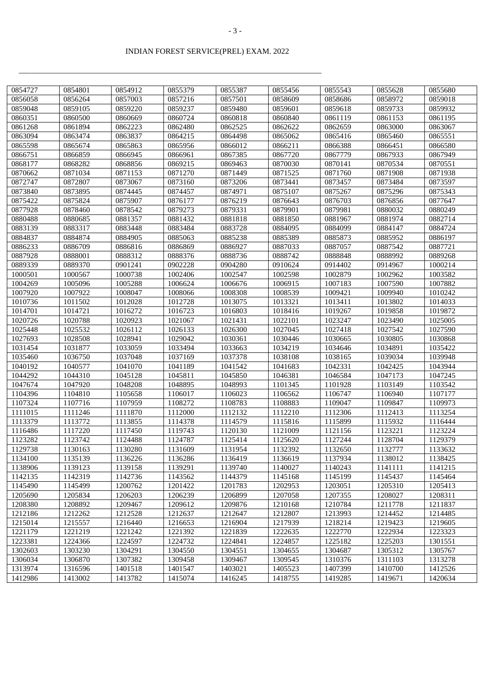\_\_\_\_\_\_\_\_\_\_\_\_\_\_\_\_\_\_\_\_\_\_\_\_\_\_\_\_\_\_\_\_\_\_\_\_\_\_\_\_\_\_\_\_\_\_\_\_\_\_\_\_\_\_\_\_\_\_\_\_\_\_\_\_\_\_\_\_\_\_\_\_\_\_\_\_

| 0854727 | 0854801 | 0854912 | 0855379 | 0855387 | 0855456 | 0855543 | 0855628 | 0855680 |
|---------|---------|---------|---------|---------|---------|---------|---------|---------|
| 0856058 | 0856264 | 0857003 | 0857216 | 0857501 | 0858609 | 0858686 | 0858972 | 0859018 |
| 0859048 | 0859105 | 0859220 | 0859237 | 0859480 | 0859601 | 0859618 | 0859733 | 0859932 |
| 0860351 | 0860500 | 0860669 | 0860724 | 0860818 | 0860840 | 0861119 | 0861153 | 0861195 |
| 0861268 | 0861894 | 0862223 | 0862480 | 0862525 | 0862622 | 0862659 | 0863000 | 0863067 |
| 0863094 | 0863474 | 0863837 | 0864215 | 0864498 | 0865062 | 0865416 | 0865460 | 0865551 |
| 0865598 | 0865674 | 0865863 | 0865956 | 0866012 | 0866211 | 0866388 | 0866451 | 0866580 |
| 0866751 | 0866859 | 0866945 | 0866961 | 0867385 | 0867720 | 0867779 | 0867933 | 0867949 |
| 0868177 | 0868282 | 0868856 | 0869215 | 0869463 | 0870030 | 0870141 | 0870534 | 0870551 |
| 0870662 | 0871034 | 0871153 | 0871270 | 0871449 | 0871525 | 0871760 | 0871908 | 0871938 |
| 0872747 | 0872807 | 0873067 | 0873160 | 0873206 | 0873441 | 0873457 | 0873484 | 0873597 |
| 0873840 | 0873895 | 0874445 | 0874457 | 0874971 | 0875107 | 0875267 | 0875296 | 0875343 |
| 0875422 | 0875824 | 0875907 | 0876177 | 0876219 | 0876643 | 0876703 | 0876856 | 0877647 |
| 0877928 | 0878460 | 0878542 | 0879273 | 0879331 | 0879901 | 0879981 | 0880032 | 0880249 |
| 0880488 | 0880685 | 0881357 | 0881432 | 0881818 | 0881850 | 0881967 | 0881974 | 0882714 |
| 0883139 | 0883317 | 0883448 | 0883484 | 0883728 | 0884095 | 0884099 | 0884147 | 0884724 |
| 0884837 | 0884874 | 0884905 | 0885063 | 0885238 | 0885389 | 0885873 | 0885952 | 0886197 |
| 0886233 | 0886709 | 0886816 | 0886869 | 0886927 | 0887033 | 0887057 | 0887542 | 0887721 |
| 0887928 | 0888001 | 0888312 | 0888376 | 0888736 | 0888742 | 0888848 | 0888992 | 0889268 |
| 0889339 | 0889370 | 0901241 | 0902228 | 0904280 | 0910624 | 0914402 | 0914967 | 1000214 |
| 1000501 | 1000567 | 1000738 | 1002406 | 1002547 | 1002598 | 1002879 | 1002962 | 1003582 |
| 1004269 | 1005096 | 1005288 | 1006624 | 1006676 | 1006915 | 1007183 | 1007590 | 1007882 |
| 1007920 | 1007922 | 1008047 | 1008066 | 1008308 | 1008539 | 1009421 | 1009940 | 1010242 |
| 1010736 | 1011502 | 1012028 | 1012728 | 1013075 | 1013321 | 1013411 | 1013802 | 1014033 |
| 1014701 | 1014721 | 1016272 | 1016723 | 1016803 | 1018416 | 1019267 | 1019858 | 1019872 |
| 1020726 | 1020788 | 1020923 | 1021067 | 1021431 | 1022101 | 1023247 | 1023490 | 1025005 |
| 1025448 | 1025532 | 1026112 | 1026133 | 1026300 | 1027045 | 1027418 | 1027542 | 1027590 |
| 1027693 | 1028508 | 1028941 | 1029042 | 1030361 | 1030446 | 1030665 | 1030805 | 1030868 |
| 1031454 | 1031877 | 1033059 | 1033494 | 1033663 | 1034219 | 1034646 | 1034891 | 1035422 |
| 1035460 | 1036750 | 1037048 | 1037169 | 1037378 | 1038108 | 1038165 | 1039034 | 1039948 |
| 1040192 | 1040577 | 1041070 | 1041189 | 1041542 | 1041683 | 1042331 | 1042425 | 1043944 |
| 1044292 | 1044310 | 1045128 | 1045811 | 1045850 | 1046381 | 1046584 | 1047173 | 1047245 |
| 1047674 | 1047920 | 1048208 | 1048895 | 1048993 | 1101345 | 1101928 | 1103149 | 1103542 |
| 1104396 | 1104810 | 1105658 | 1106017 | 1106023 | 1106562 | 1106747 | 1106940 | 1107177 |
| 1107324 | 1107716 | 1107959 | 1108272 | 1108783 | 1108883 | 1109047 | 1109847 | 1109973 |
| 1111015 | 1111246 | 1111870 | 1112000 | 1112132 | 1112210 | 1112306 | 1112413 | 1113254 |
| 1113379 | 1113772 | 1113855 | 1114378 | 1114579 | 1115816 | 1115899 | 1115932 | 1116444 |
| 1116486 | 1117220 | 1117450 | 1119743 | 1120130 | 1121009 | 1121156 | 1123221 | 1123224 |
| 1123282 | 1123742 | 1124488 | 1124787 | 1125414 | 1125620 | 1127244 | 1128704 | 1129379 |
| 1129738 | 1130163 | 1130280 | 1131609 | 1131954 | 1132392 | 1132650 | 1132777 | 1133632 |
| 1134100 | 1135139 | 1136226 | 1136286 | 1136419 | 1136619 | 1137934 | 1138012 | 1138425 |
| 1138906 | 1139123 | 1139158 | 1139291 | 1139740 | 1140027 | 1140243 | 1141111 | 1141215 |
| 1142135 | 1142319 | 1142736 | 1143562 | 1144379 | 1145168 | 1145199 | 1145437 | 1145464 |
| 1145490 | 1145499 | 1200762 | 1201422 | 1201783 | 1202953 | 1203051 | 1205310 | 1205413 |
| 1205690 | 1205834 | 1206203 | 1206239 | 1206899 | 1207058 | 1207355 | 1208027 | 1208311 |
| 1208380 | 1208892 | 1209467 | 1209612 | 1209876 | 1210168 | 1210784 | 1211778 | 1211837 |
| 1212186 | 1212262 | 1212528 | 1212637 | 1212647 | 1212807 | 1213993 | 1214452 | 1214485 |
| 1215014 | 1215557 | 1216440 | 1216653 | 1216904 | 1217939 | 1218214 | 1219423 | 1219605 |
| 1221179 | 1221219 | 1221242 | 1221392 | 1221839 | 1222635 | 1222770 | 1222934 | 1223323 |
| 1223381 | 1224366 | 1224597 | 1224732 | 1224841 | 1224857 | 1225182 | 1225203 | 1301551 |
| 1302603 | 1303230 | 1304291 | 1304550 | 1304551 | 1304655 | 1304687 | 1305312 | 1305767 |
| 1306034 | 1306870 | 1307382 | 1309458 | 1309467 | 1309545 | 1310376 | 1311103 | 1313278 |
| 1313974 | 1316596 | 1401518 | 1401547 | 1403021 | 1405523 | 1407399 | 1410700 | 1412526 |
| 1412986 | 1413002 | 1413782 | 1415074 | 1416245 | 1418755 | 1419285 | 1419671 | 1420634 |
|         |         |         |         |         |         |         |         |         |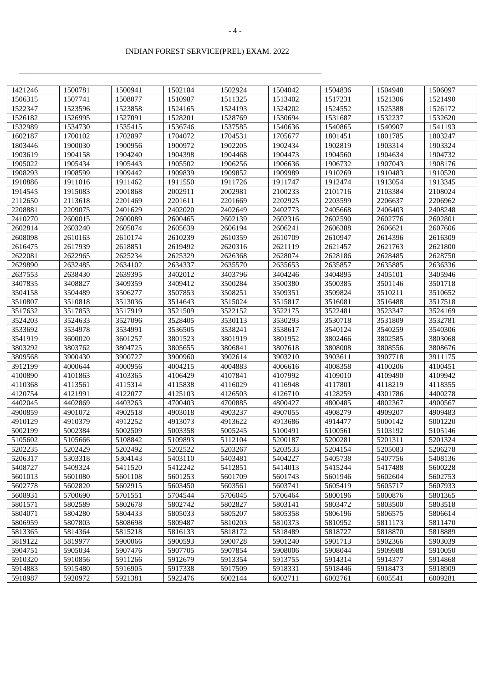\_\_\_\_\_\_\_\_\_\_\_\_\_\_\_\_\_\_\_\_\_\_\_\_\_\_\_\_\_\_\_\_\_\_\_\_\_\_\_\_\_\_\_\_\_\_\_\_\_\_\_\_\_\_\_\_\_\_\_\_\_\_\_\_\_\_\_\_\_\_\_\_\_\_\_\_

| 1421246 | 1500781 | 1500941 | 1502184 | 1502924 | 1504042 | 1504836 | 1504948 | 1506097 |
|---------|---------|---------|---------|---------|---------|---------|---------|---------|
| 1506315 | 1507741 | 1508077 | 1510987 | 1511325 | 1513402 | 1517231 | 1521306 | 1521490 |
| 1522347 | 1523596 | 1523858 | 1524165 | 1524193 | 1524202 | 1524552 | 1525388 | 1526172 |
| 1526182 | 1526995 | 1527091 | 1528201 | 1528769 | 1530694 | 1531687 | 1532237 | 1532620 |
| 1532989 | 1534730 | 1535415 | 1536746 | 1537585 | 1540636 | 1540865 | 1540907 | 1541193 |
| 1602187 | 1700102 | 1702897 | 1704072 | 1704531 | 1705677 | 1801451 | 1801785 | 1803247 |
| 1803446 | 1900030 | 1900956 | 1900972 | 1902205 | 1902434 | 1902819 | 1903314 | 1903324 |
| 1903619 | 1904158 | 1904240 | 1904398 | 1904468 | 1904473 | 1904560 | 1904634 | 1904732 |
| 1905022 | 1905434 | 1905443 | 1905502 | 1906256 | 1906636 | 1906732 | 1907043 | 1908176 |
| 1908293 | 1908599 | 1909442 | 1909839 | 1909852 | 1909989 | 1910269 | 1910483 | 1910520 |
| 1910886 | 1911016 | 1911462 | 1911550 | 1911726 | 1911747 | 1912474 | 1913054 | 1913345 |
| 1914545 | 1915083 | 2001868 | 2002911 | 2002981 | 2100233 | 2101716 | 2103384 | 2108024 |
| 2112650 | 2113618 | 2201469 | 2201611 | 2201669 | 2202925 | 2203599 | 2206637 | 2206962 |
| 2208881 | 2209075 | 2401629 | 2402020 | 2402649 | 2402773 | 2405668 | 2406403 | 2408248 |
| 2410270 | 2600015 | 2600089 | 2600465 | 2602139 | 2602316 | 2602590 | 2602776 | 2602801 |
| 2602814 | 2603240 | 2605074 | 2605639 | 2606194 | 2606241 | 2606388 | 2606621 | 2607606 |
| 2608098 | 2610163 | 2610174 | 2610239 | 2610359 | 2610709 | 2610947 | 2614396 | 2616309 |
| 2616475 | 2617939 | 2618851 | 2619492 | 2620316 | 2621119 | 2621457 | 2621763 | 2621800 |
| 2622081 | 2622965 | 2625234 | 2625329 | 2626368 | 2628074 | 2628186 | 2628485 | 2628750 |
| 2629890 | 2632485 | 2634102 | 2634337 | 2635570 | 2635653 | 2635857 | 2635885 | 2636336 |
| 2637553 | 2638430 | 2639395 | 3402012 | 3403796 | 3404246 | 3404895 | 3405101 | 3405946 |
| 3407835 | 3408827 | 3409359 | 3409412 | 3500284 | 3500380 | 3500385 | 3501146 | 3501718 |
| 3504158 | 3504489 | 3506277 | 3507853 | 3508251 | 3509351 | 3509824 | 3510211 | 3510652 |
| 3510807 | 3510818 | 3513036 | 3514643 | 3515024 | 3515817 | 3516081 | 3516488 | 3517518 |
| 3517632 | 3517853 | 3517919 | 3521509 | 3522152 | 3522175 | 3522481 | 3523347 | 3524169 |
| 3524203 | 3524633 | 3527096 | 3528405 | 3530113 | 3530293 | 3530718 | 3531809 | 3532781 |
| 3533692 | 3534978 | 3534991 | 3536505 | 3538241 | 3538617 | 3540124 | 3540259 | 3540306 |
| 3541919 | 3600020 | 3601257 | 3801523 | 3801919 | 3801952 | 3802466 | 3802585 | 3803068 |
| 3803292 | 3803762 | 3804725 | 3805655 | 3806841 | 3807618 | 3808008 | 3808556 | 3808676 |
| 3809568 | 3900430 | 3900727 | 3900960 | 3902614 | 3903210 | 3903611 | 3907718 | 3911175 |
| 3912199 | 4000644 | 4000956 | 4004215 | 4004883 | 4006616 | 4008358 | 4100206 | 4100451 |
| 4100890 | 4101863 | 4103365 | 4106429 | 4107841 | 4107992 | 4109010 | 4109490 | 4109942 |
| 4110368 | 4113561 | 4115314 | 4115838 | 4116029 | 4116948 | 4117801 | 4118219 | 4118355 |
| 4120754 | 4121991 | 4122077 | 4125103 | 4126503 | 4126710 | 4128259 | 4301786 | 4400278 |
| 4402045 | 4402869 | 4403263 | 4700403 | 4700885 | 4800427 | 4800485 | 4802367 | 4900567 |
| 4900859 | 4901072 | 4902518 | 4903018 | 4903237 | 4907055 | 4908279 | 4909207 | 4909483 |
| 4910129 | 4910379 | 4912252 | 4913073 | 4913622 | 4913686 | 4914477 | 5000142 | 5001220 |
| 5002199 | 5002384 | 5002509 | 5003358 | 5005245 | 5100491 | 5100561 | 5103192 | 5105146 |
| 5105602 | 5105666 | 5108842 | 5109893 | 5112104 | 5200187 | 5200281 | 5201311 | 5201324 |
| 5202235 | 5202429 | 5202492 | 5202522 | 5203267 | 5203533 | 5204154 | 5205083 | 5206278 |
| 5206317 | 5303318 | 5304143 | 5403110 | 5403481 | 5404227 | 5405738 | 5407756 | 5408136 |
| 5408727 | 5409324 | 5411520 | 5412242 | 5412851 | 5414013 | 5415244 | 5417488 | 5600228 |
| 5601013 | 5601080 | 5601108 | 5601253 | 5601709 | 5601743 | 5601946 | 5602604 | 5602753 |
| 5602778 | 5602820 | 5602915 | 5603450 | 5603561 | 5603741 | 5605419 | 5605717 | 5607933 |
| 5608931 | 5700690 | 5701551 | 5704544 | 5706045 | 5706464 | 5800196 | 5800876 | 5801365 |
| 5801571 | 5802589 | 5802678 | 5802742 | 5802827 | 5803141 | 5803472 | 5803500 | 5803518 |
| 5804071 | 5804280 | 5804433 | 5805033 | 5805207 | 5805358 | 5806196 | 5806575 | 5806614 |
| 5806959 | 5807803 | 5808698 | 5809487 | 5810203 | 5810373 | 5810952 | 5811173 | 5811470 |
| 5813365 | 5814364 | 5815218 | 5816133 | 5818172 | 5818489 | 5818727 | 5818870 | 5818889 |
| 5819122 | 5819977 | 5900066 | 5900593 | 5900728 | 5901240 | 5901713 | 5902366 | 5903039 |
| 5904751 | 5905034 | 5907476 | 5907705 | 5907854 | 5908006 | 5908044 | 5909988 | 5910050 |
| 5910320 | 5910856 | 5911266 | 5912679 | 5913354 | 5913755 | 5914314 | 5914377 | 5914868 |
| 5914883 | 5915480 | 5916905 | 5917338 | 5917509 | 5918331 | 5918446 | 5918473 | 5918909 |
| 5918987 | 5920972 | 5921381 | 5922476 | 6002144 | 6002711 | 6002761 | 6005541 | 6009281 |
|         |         |         |         |         |         |         |         |         |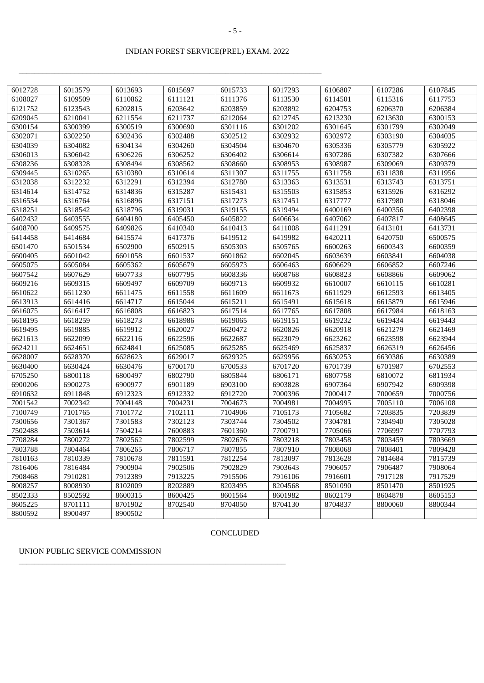\_\_\_\_\_\_\_\_\_\_\_\_\_\_\_\_\_\_\_\_\_\_\_\_\_\_\_\_\_\_\_\_\_\_\_\_\_\_\_\_\_\_\_\_\_\_\_\_\_\_\_\_\_\_\_\_\_\_\_\_\_\_\_\_\_\_\_\_\_\_\_\_\_\_\_\_

| 6012728 | 6013579 | 6013693 | 6015697 | 6015733 | 6017293 | 6106807 | 6107286 | 6107845 |
|---------|---------|---------|---------|---------|---------|---------|---------|---------|
| 6108027 | 6109509 | 6110862 | 6111121 | 6111376 | 6113530 | 6114501 | 6115316 | 6117753 |
| 6121752 | 6123543 | 6202815 | 6203642 | 6203859 | 6203892 | 6204753 | 6206370 | 6206384 |
| 6209045 | 6210041 | 6211554 | 6211737 | 6212064 | 6212745 | 6213230 | 6213630 | 6300153 |
| 6300154 | 6300399 | 6300519 | 6300690 | 6301116 | 6301202 | 6301645 | 6301799 | 6302049 |
| 6302071 | 6302250 | 6302436 | 6302488 | 6302512 | 6302932 | 6302972 | 6303190 | 6304035 |
| 6304039 | 6304082 | 6304134 | 6304260 | 6304504 | 6304670 | 6305336 | 6305779 | 6305922 |
| 6306013 | 6306042 | 6306226 | 6306252 | 6306402 | 6306614 | 6307286 | 6307382 | 6307666 |
| 6308236 | 6308328 | 6308494 | 6308562 | 6308660 | 6308953 | 6308987 | 6309069 | 6309379 |
| 6309445 | 6310265 | 6310380 | 6310614 | 6311307 | 6311755 | 6311758 | 6311838 | 6311956 |
| 6312038 | 6312232 | 6312291 | 6312394 | 6312780 | 6313363 | 6313531 | 6313743 | 6313751 |
| 6314614 | 6314752 | 6314836 | 6315287 | 6315431 | 6315503 | 6315853 | 6315926 | 6316292 |
| 6316534 | 6316764 | 6316896 | 6317151 | 6317273 | 6317451 | 6317777 | 6317980 | 6318046 |
| 6318251 | 6318542 | 6318796 | 6319031 | 6319155 | 6319494 | 6400169 | 6400356 | 6402398 |
| 6402432 | 6403555 | 6404180 | 6405450 | 6405822 | 6406634 | 6407062 | 6407817 | 6408645 |
| 6408700 | 6409575 | 6409826 | 6410340 | 6410413 | 6411008 | 6411291 | 6413101 | 6413731 |
| 6414458 | 6414684 | 6415574 | 6417376 | 6419512 | 6419982 | 6420211 | 6420750 | 6500575 |
| 6501470 | 6501534 | 6502900 | 6502915 | 6505303 | 6505765 | 6600263 | 6600343 | 6600359 |
| 6600405 | 6601042 | 6601058 | 6601537 | 6601862 | 6602045 | 6603639 | 6603841 | 6604038 |
| 6605075 | 6605084 | 6605362 | 6605679 | 6605973 | 6606463 | 6606629 | 6606852 | 6607246 |
| 6607542 | 6607629 | 6607733 | 6607795 | 6608336 | 6608768 | 6608823 | 6608866 | 6609062 |
| 6609216 | 6609315 | 6609497 | 6609709 | 6609713 | 6609932 | 6610007 | 6610115 | 6610281 |
| 6610622 | 6611230 | 6611475 | 6611558 | 6611609 | 6611673 | 6611929 | 6612593 | 6613405 |
| 6613913 | 6614416 | 6614717 | 6615044 | 6615211 | 6615491 | 6615618 | 6615879 | 6615946 |
| 6616075 | 6616417 | 6616808 | 6616823 | 6617514 | 6617765 | 6617808 | 6617984 | 6618163 |
| 6618195 | 6618259 | 6618273 | 6618986 | 6619065 | 6619151 | 6619232 | 6619434 | 6619443 |
| 6619495 | 6619885 | 6619912 | 6620027 | 6620472 | 6620826 | 6620918 | 6621279 | 6621469 |
| 6621613 | 6622099 | 6622116 | 6622596 | 6622687 | 6623079 | 6623262 | 6623598 | 6623944 |
| 6624211 | 6624651 | 6624841 | 6625085 | 6625285 | 6625469 | 6625837 | 6626319 | 6626456 |
| 6628007 | 6628370 | 6628623 | 6629017 | 6629325 | 6629956 | 6630253 | 6630386 | 6630389 |
| 6630400 | 6630424 | 6630476 | 6700170 | 6700533 | 6701720 | 6701739 | 6701987 | 6702553 |
| 6705250 | 6800118 | 6800497 | 6802790 | 6805844 | 6806171 | 6807758 | 6810072 | 6811934 |
| 6900206 | 6900273 | 6900977 | 6901189 | 6903100 | 6903828 | 6907364 | 6907942 | 6909398 |
|         |         |         |         |         |         |         | 7000659 |         |
| 6910632 | 6911848 | 6912323 | 6912332 | 6912720 | 7000396 | 7000417 |         | 7000756 |
| 7001542 | 7002342 | 7004148 | 7004231 | 7004673 | 7004981 | 7004995 | 7005110 | 7006108 |
| 7100749 | 7101765 | 7101772 | 7102111 | 7104906 | 7105173 | 7105682 | 7203835 | 7203839 |
| 7300656 | 7301367 | 7301583 | 7302123 | 7303744 | 7304502 | 7304781 | 7304940 | 7305028 |
| 7502488 | 7503614 | 7504214 | 7600883 | 7601360 | 7700791 | 7705066 | 7706997 | 7707793 |
| 7708284 | 7800272 | 7802562 | 7802599 | 7802676 | 7803218 | 7803458 | 7803459 | 7803669 |
| 7803788 | 7804464 | 7806265 | 7806717 | 7807855 | 7807910 | 7808068 | 7808401 | 7809428 |
| 7810163 | 7810339 | 7810678 | 7811591 | 7812254 | 7813097 | 7813628 | 7814684 | 7815739 |
| 7816406 | 7816484 | 7900904 | 7902506 | 7902829 | 7903643 | 7906057 | 7906487 | 7908064 |
| 7908468 | 7910281 | 7912389 | 7913225 | 7915506 | 7916106 | 7916601 | 7917128 | 7917529 |
| 8008257 | 8008930 | 8102009 | 8202889 | 8203495 | 8204568 | 8501090 | 8501470 | 8501925 |
| 8502333 | 8502592 | 8600315 | 8600425 | 8601564 | 8601982 | 8602179 | 8604878 | 8605153 |
| 8605225 | 8701111 | 8701902 | 8702540 | 8704050 | 8704130 | 8704837 | 8800060 | 8800344 |
| 8800592 | 8900497 | 8900502 |         |         |         |         |         |         |

#### CONCLUDED

UNION PUBLIC SERVICE COMMISSION

\_\_\_\_\_\_\_\_\_\_\_\_\_\_\_\_\_\_\_\_\_\_\_\_\_\_\_\_\_\_\_\_\_\_\_\_\_\_\_\_\_\_\_\_\_\_\_\_\_\_\_\_\_\_\_\_\_\_\_\_\_\_\_\_\_\_\_